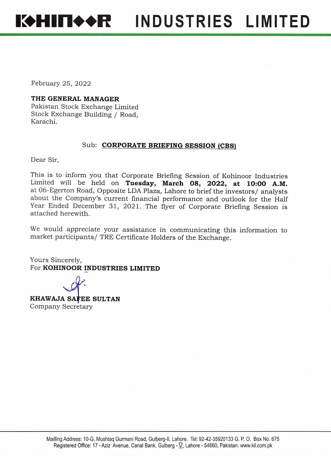## **EXPHINI++ R INDUSTRIES LIMITED**

February 25, 2022

## **THE GENERAL MANAGER**

Pakistan Stock Exchange Limited Stock Exchange Building / Road, Karachi.

## Sub: **CORPORATE BRIEFING SESSION (CBS)**

Dear Sir,

This is to inform you that Corporate Briefing Session of Kohinoor Industries Limited will be held on **Tuesday, March 08, 2022, at 10:00 A.M.**  at 06-Egerton Road, Opposite LDA Plaza, Lahore to brief the investors/ analysts about the Company's current financial performance and outlook for the Half Year Ended December 31, 2021. The flyer of Corporate Briefing Session is attached herewith.

We would appreciate your assistance in communicating this information to market participants/ TRE Certificate Holders of the Exchange.

Yours Sincerely, For **KOHINOOR INDUSTRIES LIMITED** 

**KHAWAJA SAFEE SULTAN** Company Secretary